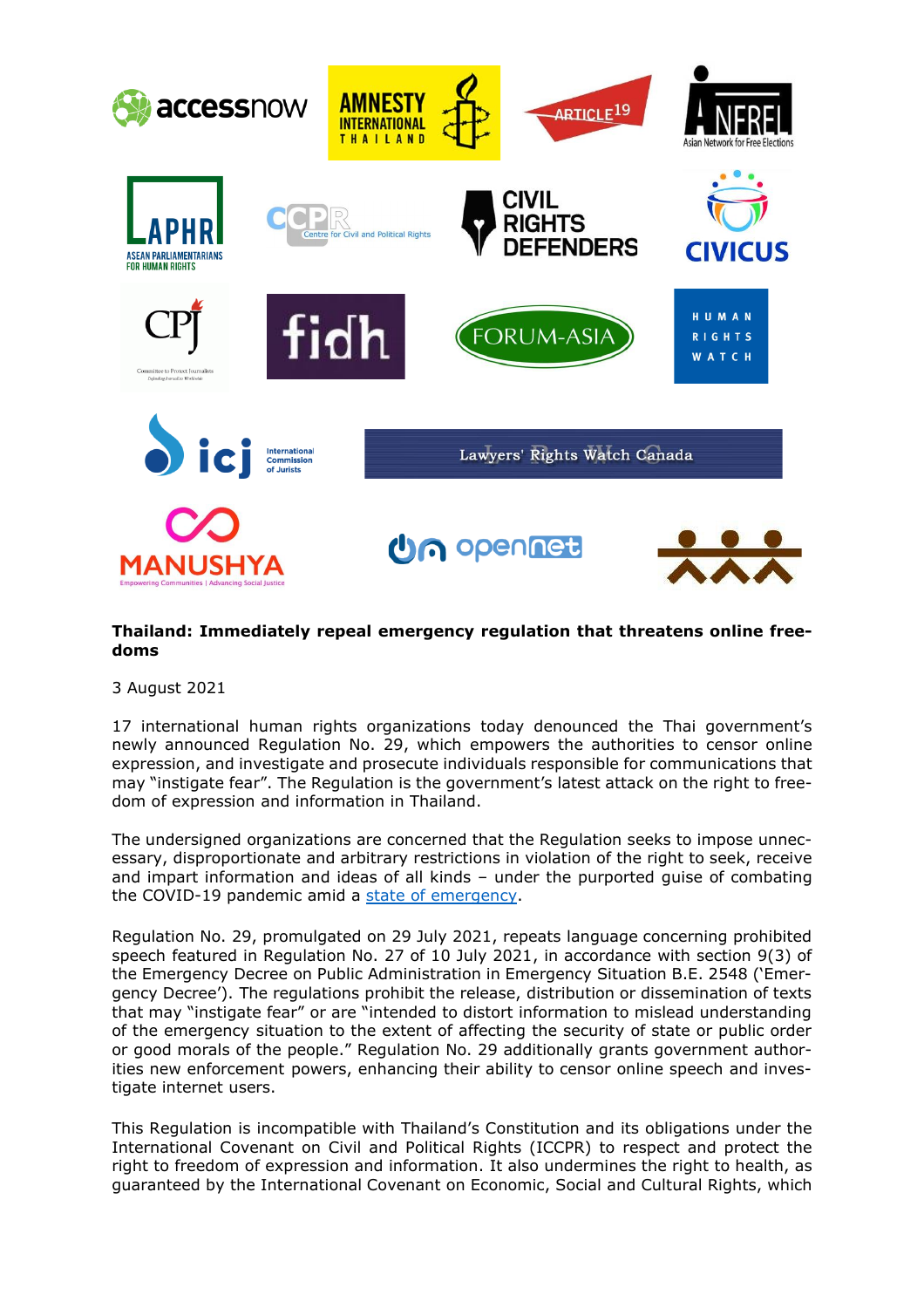

## **Thailand: Immediately repeal emergency regulation that threatens online freedoms**

3 August 2021

17 international human rights organizations today denounced the Thai government's newly announced Regulation No. 29, which empowers the authorities to censor online expression, and investigate and prosecute individuals responsible for communications that may "instigate fear". The Regulation is the government's latest attack on the right to freedom of expression and information in Thailand.

The undersigned organizations are concerned that the Regulation seeks to impose unnecessary, disproportionate and arbitrary restrictions in violation of the right to seek, receive and impart information and ideas of all kinds – under the purported guise of combating the COVID-19 pandemic amid a state of [emergency.](https://www.icj.org/thailand-covid-19-emergency-decree-must-not-be-used-to-undermine-human-rights/)

Regulation No. 29, promulgated on 29 July 2021, repeats language concerning prohibited speech featured in Regulation No. 27 of 10 July 2021, in accordance with section 9(3) of the Emergency Decree on Public Administration in Emergency Situation B.E. 2548 ('Emergency Decree'). The regulations prohibit the release, distribution or dissemination of texts that may "instigate fear" or are "intended to distort information to mislead understanding of the emergency situation to the extent of affecting the security of state or public order or good morals of the people." Regulation No. 29 additionally grants government authorities new enforcement powers, enhancing their ability to censor online speech and investigate internet users.

This Regulation is incompatible with Thailand's Constitution and its obligations under the International Covenant on Civil and Political Rights (ICCPR) to respect and protect the right to freedom of expression and information. It also undermines the right to health, as guaranteed by the International Covenant on Economic, Social and Cultural Rights, which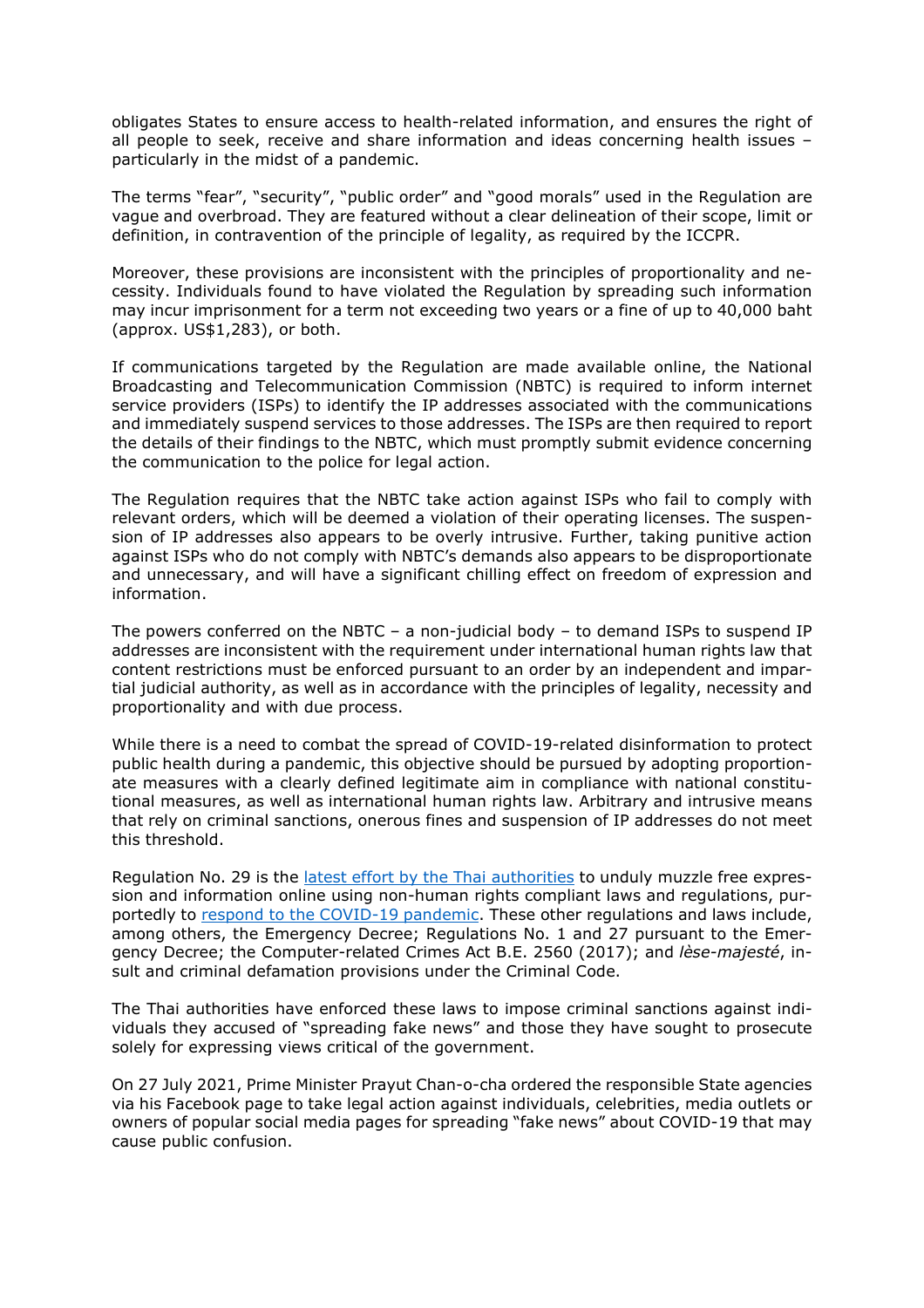obligates States to ensure access to health-related information, and ensures the right of all people to seek, receive and share information and ideas concerning health issues – particularly in the midst of a pandemic.

The terms "fear", "security", "public order" and "good morals" used in the Regulation are vague and overbroad. They are featured without a clear delineation of their scope, limit or definition, in contravention of the principle of legality, as required by the ICCPR.

Moreover, these provisions are inconsistent with the principles of proportionality and necessity. Individuals found to have violated the Regulation by spreading such information may incur imprisonment for a term not exceeding two years or a fine of up to 40,000 baht (approx. US\$1,283), or both.

If communications targeted by the Regulation are made available online, the National Broadcasting and Telecommunication Commission (NBTC) is required to inform internet service providers (ISPs) to identify the IP addresses associated with the communications and immediately suspend services to those addresses. The ISPs are then required to report the details of their findings to the NBTC, which must promptly submit evidence concerning the communication to the police for legal action.

The Regulation requires that the NBTC take action against ISPs who fail to comply with relevant orders, which will be deemed a violation of their operating licenses. The suspension of IP addresses also appears to be overly intrusive. Further, taking punitive action against ISPs who do not comply with NBTC's demands also appears to be disproportionate and unnecessary, and will have a significant chilling effect on freedom of expression and information.

The powers conferred on the NBTC – a non-judicial body – to demand ISPs to suspend IP addresses are inconsistent with the requirement under international human rights law that content restrictions must be enforced pursuant to an order by an independent and impartial judicial authority, as well as in accordance with the principles of legality, necessity and proportionality and with due process.

While there is a need to combat the spread of COVID-19-related disinformation to protect public health during a pandemic, this objective should be pursued by adopting proportionate measures with a clearly defined legitimate aim in compliance with national constitutional measures, as well as international human rights law. Arbitrary and intrusive means that rely on criminal sanctions, onerous fines and suspension of IP addresses do not meet this threshold.

Regulation No. 29 is the latest effort by the Thai [authorities](https://www.icj.org/thailand-new-icj-report-highlights-intensified-online-restrictions/) to unduly muzzle free expression and information online using non-human rights compliant laws and regulations, purportedly to respond to the COVID-19 [pandemic.](https://www.icj.org/thailand-covid-19-response-measures-must-not-undermine-freedom-of-expression-and-information/) These other regulations and laws include, among others, the Emergency Decree; Regulations No. 1 and 27 pursuant to the Emergency Decree; the Computer-related Crimes Act B.E. 2560 (2017); and *lèse-majesté*, insult and criminal defamation provisions under the Criminal Code.

The Thai authorities have enforced these laws to impose criminal sanctions against individuals they accused of "spreading fake news" and those they have sought to prosecute solely for expressing views critical of the government.

On 27 July 2021, Prime Minister Prayut Chan-o-cha ordered the responsible State agencies via his Facebook page to take legal action against individuals, celebrities, media outlets or owners of popular social media pages for spreading "fake news" about COVID-19 that may cause public confusion.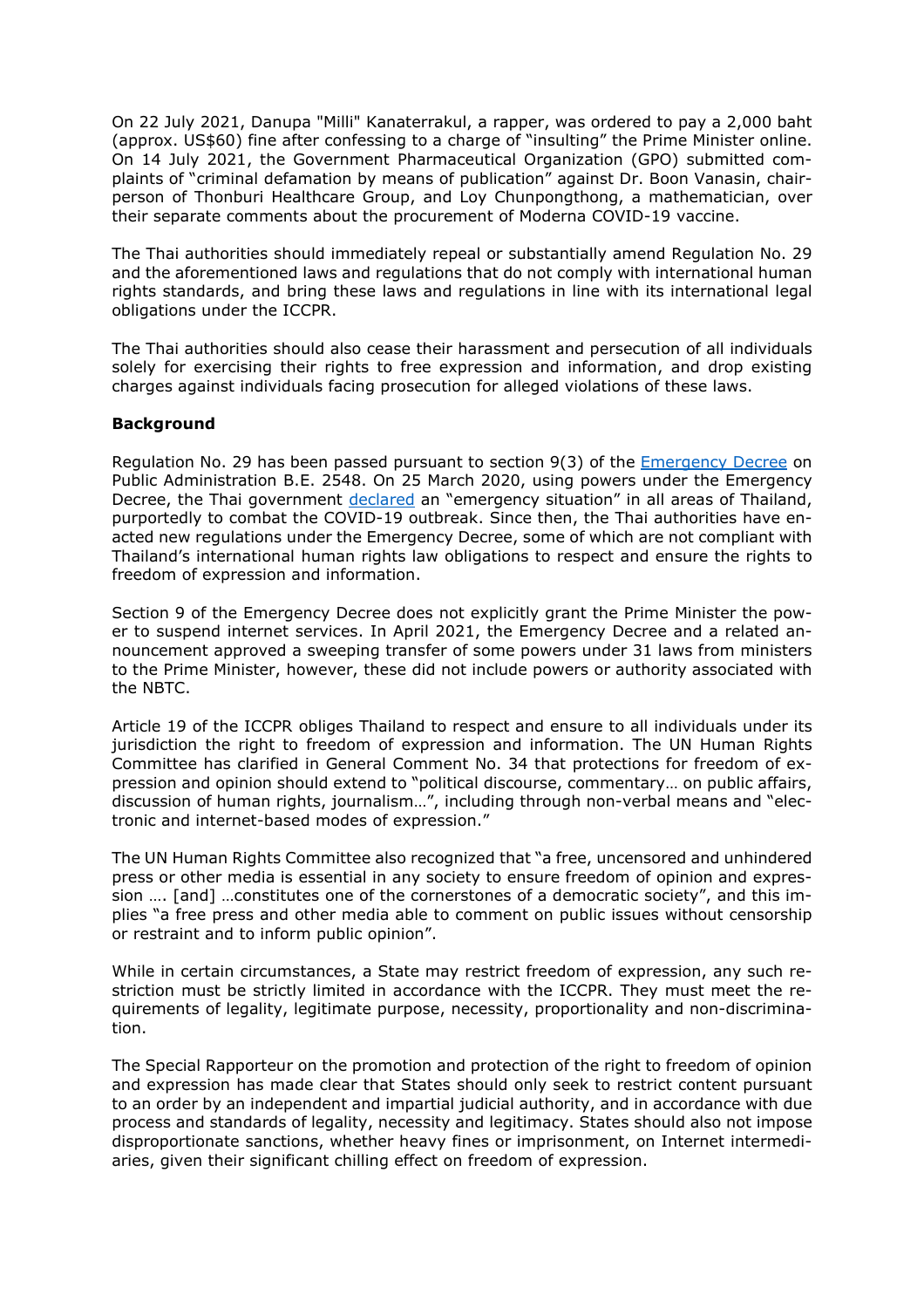On 22 July 2021, Danupa "Milli" Kanaterrakul, a rapper, was ordered to pay a 2,000 baht (approx. US\$60) fine after confessing to a charge of "insulting" the Prime Minister online. On 14 July 2021, the Government Pharmaceutical Organization (GPO) submitted complaints of "criminal defamation by means of publication" against Dr. Boon Vanasin, chairperson of Thonburi Healthcare Group, and Loy Chunpongthong, a mathematician, over their separate comments about the procurement of Moderna COVID-19 vaccine.

The Thai authorities should immediately repeal or substantially amend Regulation No. 29 and the aforementioned laws and regulations that do not comply with international human rights standards, and bring these laws and regulations in line with its international legal obligations under the ICCPR.

The Thai authorities should also cease their harassment and persecution of all individuals solely for exercising their rights to free expression and information, and drop existing charges against individuals facing prosecution for alleged violations of these laws.

## **Background**

Regulation No. 29 has been passed pursuant to section 9(3) of the [Emergency](http://web.krisdika.go.th/data/document/ext810/810259_0001.pdf) Decree on Public Administration B.E. 2548. On 25 March 2020, using powers under the Emergency Decree, the Thai government [declared](https://www.icj.org/thailand-covid-19-emergency-decree-must-not-be-used-to-undermine-human-rights/) an "emergency situation" in all areas of Thailand, purportedly to combat the COVID-19 outbreak. Since then, the Thai authorities have enacted new regulations under the Emergency Decree, some of which are not compliant with Thailand's international human rights law obligations to respect and ensure the rights to freedom of expression and information.

Section 9 of the Emergency Decree does not explicitly grant the Prime Minister the power to suspend internet services. In April 2021, the Emergency Decree and a related announcement approved a sweeping transfer of some powers under 31 laws from ministers to the Prime Minister, however, these did not include powers or authority associated with the NBTC.

Article 19 of the ICCPR obliges Thailand to respect and ensure to all individuals under its jurisdiction the right to freedom of expression and information. The UN Human Rights Committee has clarified in General Comment No. 34 that protections for freedom of expression and opinion should extend to "political discourse, commentary… on public affairs, discussion of human rights, journalism…", including through non-verbal means and "electronic and internet-based modes of expression."

The UN Human Rights Committee also recognized that "a free, uncensored and unhindered press or other media is essential in any society to ensure freedom of opinion and expression …. [and] …constitutes one of the cornerstones of a democratic society", and this implies "a free press and other media able to comment on public issues without censorship or restraint and to inform public opinion".

While in certain circumstances, a State may restrict freedom of expression, any such restriction must be strictly limited in accordance with the ICCPR. They must meet the requirements of legality, legitimate purpose, necessity, proportionality and non-discrimination.

The Special Rapporteur on the promotion and protection of the right to freedom of opinion and expression has made clear that States should only seek to restrict content pursuant to an order by an independent and impartial judicial authority, and in accordance with due process and standards of legality, necessity and legitimacy. States should also not impose disproportionate sanctions, whether heavy fines or imprisonment, on Internet intermediaries, given their significant chilling effect on freedom of expression.